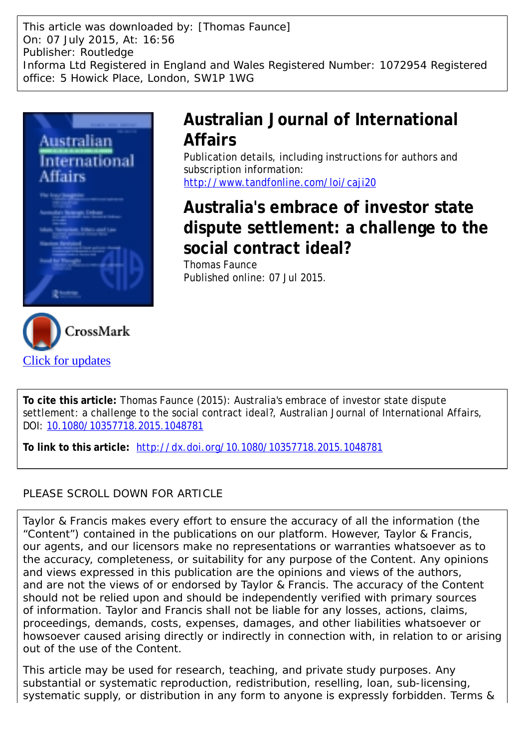This article was downloaded by: [Thomas Faunce] On: 07 July 2015, At: 16:56 Publisher: Routledge Informa Ltd Registered in England and Wales Registered Number: 1072954 Registered office: 5 Howick Place, London, SW1P 1WG



[Click for updates](http://crossmark.crossref.org/dialog/?doi=10.1080/10357718.2015.1048781&domain=pdf&date_stamp=2015-07-07)

# **Australian Journal of International Affairs**

Publication details, including instructions for authors and subscription information: <http://www.tandfonline.com/loi/caji20>

# **Australia's embrace of investor state dispute settlement: a challenge to the social contract ideal?**

Thomas Faunce Published online: 07 Jul 2015.

**To cite this article:** Thomas Faunce (2015): Australia's embrace of investor state dispute settlement: a challenge to the social contract ideal?, Australian Journal of International Affairs, DOI: [10.1080/10357718.2015.1048781](http://www.tandfonline.com/action/showCitFormats?doi=10.1080/10357718.2015.1048781)

**To link to this article:** <http://dx.doi.org/10.1080/10357718.2015.1048781>

### PLEASE SCROLL DOWN FOR ARTICLE

Taylor & Francis makes every effort to ensure the accuracy of all the information (the "Content") contained in the publications on our platform. However, Taylor & Francis, our agents, and our licensors make no representations or warranties whatsoever as to the accuracy, completeness, or suitability for any purpose of the Content. Any opinions and views expressed in this publication are the opinions and views of the authors, and are not the views of or endorsed by Taylor & Francis. The accuracy of the Content should not be relied upon and should be independently verified with primary sources of information. Taylor and Francis shall not be liable for any losses, actions, claims, proceedings, demands, costs, expenses, damages, and other liabilities whatsoever or howsoever caused arising directly or indirectly in connection with, in relation to or arising out of the use of the Content.

This article may be used for research, teaching, and private study purposes. Any substantial or systematic reproduction, redistribution, reselling, loan, sub-licensing, systematic supply, or distribution in any form to anyone is expressly forbidden. Terms &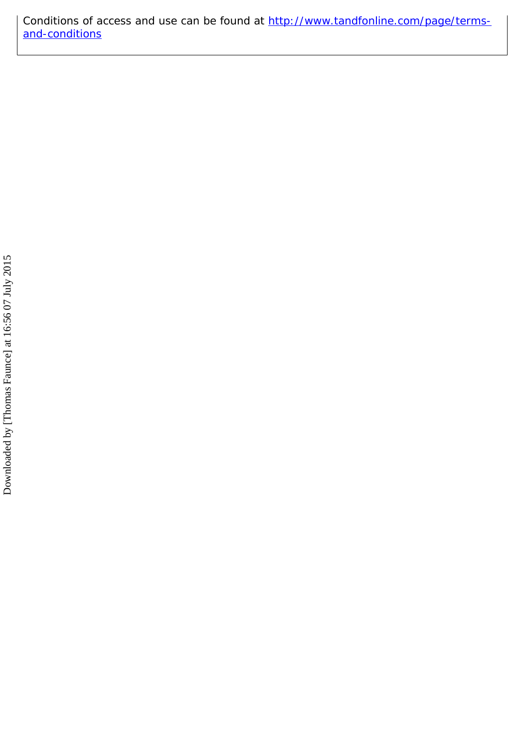Conditions of access and use can be found at [http://www.tandfonline.com/page/terms](http://www.tandfonline.com/page/terms-and-conditions)[and-conditions](http://www.tandfonline.com/page/terms-and-conditions)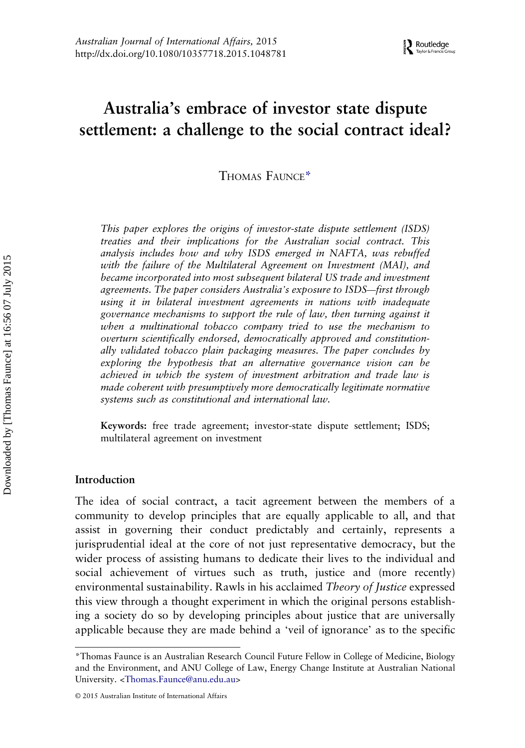## Australia's embrace of investor state dispute settlement: a challenge to the social contract ideal?

THOMAS FAUNCE\*

This paper explores the origins of investor-state dispute settlement (ISDS) treaties and their implications for the Australian social contract. This analysis includes how and why ISDS emerged in NAFTA, was rebuffed with the failure of the Multilateral Agreement on Investment (MAI), and became incorporated into most subsequent bilateral US trade and investment agreements. The paper considers Australia's exposure to ISDS—first through using it in bilateral investment agreements in nations with inadequate governance mechanisms to support the rule of law, then turning against it when a multinational tobacco company tried to use the mechanism to overturn scientifically endorsed, democratically approved and constitutionally validated tobacco plain packaging measures. The paper concludes by exploring the hypothesis that an alternative governance vision can be achieved in which the system of investment arbitration and trade law is made coherent with presumptively more democratically legitimate normative systems such as constitutional and international law.

Keywords: free trade agreement; investor-state dispute settlement; ISDS; multilateral agreement on investment

#### Introduction

The idea of social contract, a tacit agreement between the members of a community to develop principles that are equally applicable to all, and that assist in governing their conduct predictably and certainly, represents a jurisprudential ideal at the core of not just representative democracy, but the wider process of assisting humans to dedicate their lives to the individual and social achievement of virtues such as truth, justice and (more recently) environmental sustainability. Rawls in his acclaimed Theory of Justice expressed this view through a thought experiment in which the original persons establishing a society do so by developing principles about justice that are universally applicable because they are made behind a 'veil of ignorance' as to the specific

<sup>\*</sup>Thomas Faunce is an Australian Research Council Future Fellow in College of Medicine, Biology and the Environment, and ANU College of Law, Energy Change Institute at Australian National University. [<Thomas.Faunce@anu.edu.au](mailto:Thomas.Faunce@anu.edu.au)>

<sup>© 2015</sup> Australian Institute of International Affairs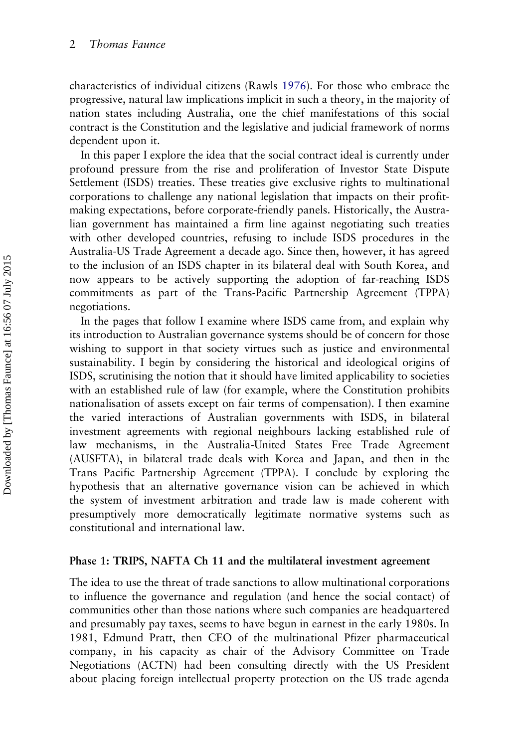characteristics of individual citizens (Rawls [1976\)](#page-16-0). For those who embrace the progressive, natural law implications implicit in such a theory, in the majority of nation states including Australia, one the chief manifestations of this social contract is the Constitution and the legislative and judicial framework of norms dependent upon it.

In this paper I explore the idea that the social contract ideal is currently under profound pressure from the rise and proliferation of Investor State Dispute Settlement (ISDS) treaties. These treaties give exclusive rights to multinational corporations to challenge any national legislation that impacts on their profitmaking expectations, before corporate-friendly panels. Historically, the Australian government has maintained a firm line against negotiating such treaties with other developed countries, refusing to include ISDS procedures in the Australia-US Trade Agreement a decade ago. Since then, however, it has agreed to the inclusion of an ISDS chapter in its bilateral deal with South Korea, and now appears to be actively supporting the adoption of far-reaching ISDS commitments as part of the Trans-Pacific Partnership Agreement (TPPA) negotiations.

In the pages that follow I examine where ISDS came from, and explain why its introduction to Australian governance systems should be of concern for those wishing to support in that society virtues such as justice and environmental sustainability. I begin by considering the historical and ideological origins of ISDS, scrutinising the notion that it should have limited applicability to societies with an established rule of law (for example, where the Constitution prohibits nationalisation of assets except on fair terms of compensation). I then examine the varied interactions of Australian governments with ISDS, in bilateral investment agreements with regional neighbours lacking established rule of law mechanisms, in the Australia-United States Free Trade Agreement (AUSFTA), in bilateral trade deals with Korea and Japan, and then in the Trans Pacific Partnership Agreement (TPPA). I conclude by exploring the hypothesis that an alternative governance vision can be achieved in which the system of investment arbitration and trade law is made coherent with presumptively more democratically legitimate normative systems such as constitutional and international law.

#### Phase 1: TRIPS, NAFTA Ch 11 and the multilateral investment agreement

The idea to use the threat of trade sanctions to allow multinational corporations to influence the governance and regulation (and hence the social contact) of communities other than those nations where such companies are headquartered and presumably pay taxes, seems to have begun in earnest in the early 1980s. In 1981, Edmund Pratt, then CEO of the multinational Pfizer pharmaceutical company, in his capacity as chair of the Advisory Committee on Trade Negotiations (ACTN) had been consulting directly with the US President about placing foreign intellectual property protection on the US trade agenda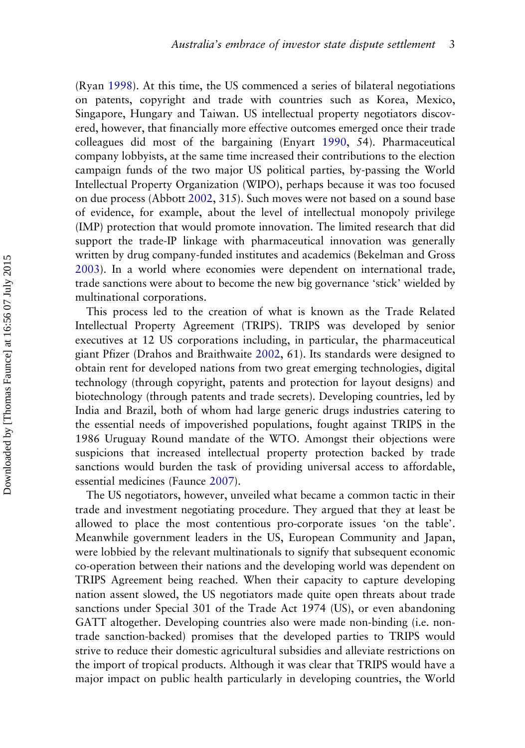(Ryan [1998](#page-16-0)). At this time, the US commenced a series of bilateral negotiations on patents, copyright and trade with countries such as Korea, Mexico, Singapore, Hungary and Taiwan. US intellectual property negotiators discovered, however, that financially more effective outcomes emerged once their trade colleagues did most of the bargaining (Enyart [1990,](#page-16-0) 54). Pharmaceutical company lobbyists, at the same time increased their contributions to the election campaign funds of the two major US political parties, by-passing the World Intellectual Property Organization (WIPO), perhaps because it was too focused on due process (Abbott [2002](#page-15-0), 315). Such moves were not based on a sound base of evidence, for example, about the level of intellectual monopoly privilege (IMP) protection that would promote innovation. The limited research that did support the trade-IP linkage with pharmaceutical innovation was generally written by drug company-funded institutes and academics (Bekelman and Gross [2003\)](#page-16-0). In a world where economies were dependent on international trade, trade sanctions were about to become the new big governance 'stick' wielded by multinational corporations.

This process led to the creation of what is known as the Trade Related Intellectual Property Agreement (TRIPS). TRIPS was developed by senior executives at 12 US corporations including, in particular, the pharmaceutical giant Pfizer (Drahos and Braithwaite [2002](#page-16-0), 61). Its standards were designed to obtain rent for developed nations from two great emerging technologies, digital technology (through copyright, patents and protection for layout designs) and biotechnology (through patents and trade secrets). Developing countries, led by India and Brazil, both of whom had large generic drugs industries catering to the essential needs of impoverished populations, fought against TRIPS in the 1986 Uruguay Round mandate of the WTO. Amongst their objections were suspicions that increased intellectual property protection backed by trade sanctions would burden the task of providing universal access to affordable, essential medicines (Faunce [2007](#page-16-0)).

The US negotiators, however, unveiled what became a common tactic in their trade and investment negotiating procedure. They argued that they at least be allowed to place the most contentious pro-corporate issues 'on the table'. Meanwhile government leaders in the US, European Community and Japan, were lobbied by the relevant multinationals to signify that subsequent economic co-operation between their nations and the developing world was dependent on TRIPS Agreement being reached. When their capacity to capture developing nation assent slowed, the US negotiators made quite open threats about trade sanctions under Special 301 of the Trade Act 1974 (US), or even abandoning GATT altogether. Developing countries also were made non-binding (i.e. nontrade sanction-backed) promises that the developed parties to TRIPS would strive to reduce their domestic agricultural subsidies and alleviate restrictions on the import of tropical products. Although it was clear that TRIPS would have a major impact on public health particularly in developing countries, the World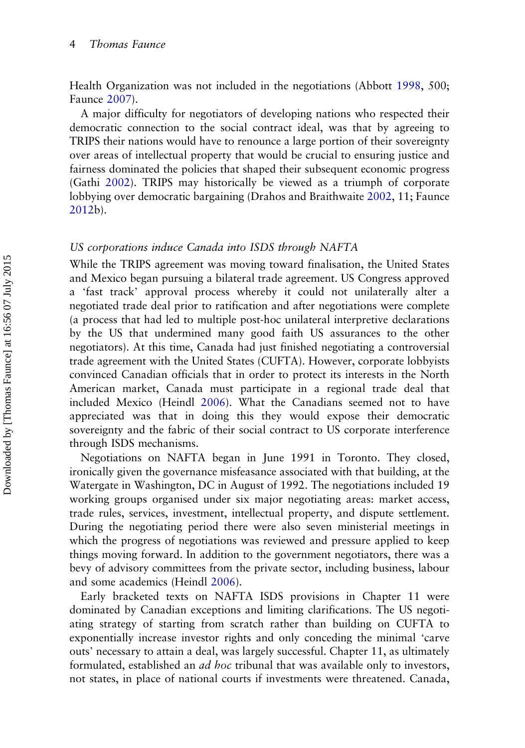Health Organization was not included in the negotiations (Abbott [1998,](#page-15-0) 500; Faunce [2007\)](#page-16-0).

A major difficulty for negotiators of developing nations who respected their democratic connection to the social contract ideal, was that by agreeing to TRIPS their nations would have to renounce a large portion of their sovereignty over areas of intellectual property that would be crucial to ensuring justice and fairness dominated the policies that shaped their subsequent economic progress (Gathi [2002](#page-16-0)). TRIPS may historically be viewed as a triumph of corporate lobbying over democratic bargaining (Drahos and Braithwaite [2002](#page-16-0), 11; Faunce [2012](#page-16-0)b).

#### US corporations induce Canada into ISDS through NAFTA

While the TRIPS agreement was moving toward finalisation, the United States and Mexico began pursuing a bilateral trade agreement. US Congress approved a 'fast track' approval process whereby it could not unilaterally alter a negotiated trade deal prior to ratification and after negotiations were complete (a process that had led to multiple post-hoc unilateral interpretive declarations by the US that undermined many good faith US assurances to the other negotiators). At this time, Canada had just finished negotiating a controversial trade agreement with the United States (CUFTA). However, corporate lobbyists convinced Canadian officials that in order to protect its interests in the North American market, Canada must participate in a regional trade deal that included Mexico (Heindl [2006\)](#page-16-0). What the Canadians seemed not to have appreciated was that in doing this they would expose their democratic sovereignty and the fabric of their social contract to US corporate interference through ISDS mechanisms.

Negotiations on NAFTA began in June 1991 in Toronto. They closed, ironically given the governance misfeasance associated with that building, at the Watergate in Washington, DC in August of 1992. The negotiations included 19 working groups organised under six major negotiating areas: market access, trade rules, services, investment, intellectual property, and dispute settlement. During the negotiating period there were also seven ministerial meetings in which the progress of negotiations was reviewed and pressure applied to keep things moving forward. In addition to the government negotiators, there was a bevy of advisory committees from the private sector, including business, labour and some academics (Heindl [2006](#page-16-0)).

Early bracketed texts on NAFTA ISDS provisions in Chapter 11 were dominated by Canadian exceptions and limiting clarifications. The US negotiating strategy of starting from scratch rather than building on CUFTA to exponentially increase investor rights and only conceding the minimal 'carve outs' necessary to attain a deal, was largely successful. Chapter 11, as ultimately formulated, established an *ad hoc* tribunal that was available only to investors, not states, in place of national courts if investments were threatened. Canada,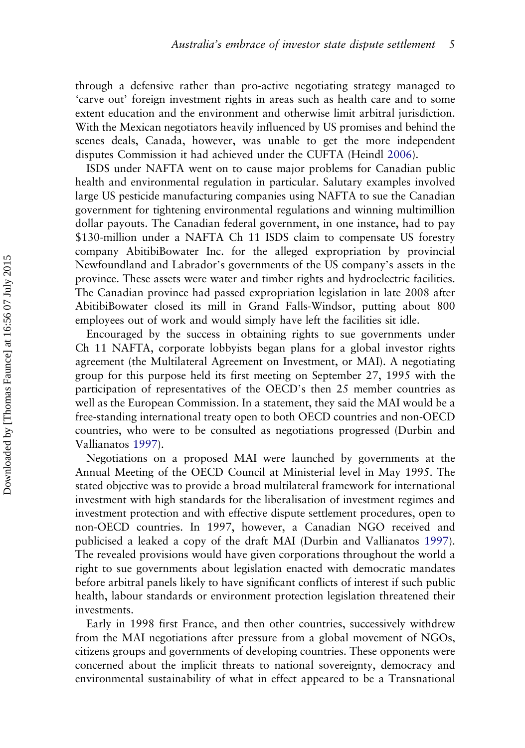through a defensive rather than pro-active negotiating strategy managed to 'carve out' foreign investment rights in areas such as health care and to some extent education and the environment and otherwise limit arbitral jurisdiction. With the Mexican negotiators heavily influenced by US promises and behind the scenes deals, Canada, however, was unable to get the more independent disputes Commission it had achieved under the CUFTA (Heindl [2006](#page-16-0)).

ISDS under NAFTA went on to cause major problems for Canadian public health and environmental regulation in particular. Salutary examples involved large US pesticide manufacturing companies using NAFTA to sue the Canadian government for tightening environmental regulations and winning multimillion dollar payouts. The Canadian federal government, in one instance, had to pay \$130-million under a NAFTA Ch 11 ISDS claim to compensate US forestry company AbitibiBowater Inc. for the alleged expropriation by provincial Newfoundland and Labrador's governments of the US company's assets in the province. These assets were water and timber rights and hydroelectric facilities. The Canadian province had passed expropriation legislation in late 2008 after AbitibiBowater closed its mill in Grand Falls-Windsor, putting about 800 employees out of work and would simply have left the facilities sit idle.

Encouraged by the success in obtaining rights to sue governments under Ch 11 NAFTA, corporate lobbyists began plans for a global investor rights agreement (the Multilateral Agreement on Investment, or MAI). A negotiating group for this purpose held its first meeting on September 27, 1995 with the participation of representatives of the OECD's then 25 member countries as well as the European Commission. In a statement, they said the MAI would be a free-standing international treaty open to both OECD countries and non-OECD countries, who were to be consulted as negotiations progressed (Durbin and Vallianatos [1997\)](#page-16-0).

Negotiations on a proposed MAI were launched by governments at the Annual Meeting of the OECD Council at Ministerial level in May 1995. The stated objective was to provide a broad multilateral framework for international investment with high standards for the liberalisation of investment regimes and investment protection and with effective dispute settlement procedures, open to non-OECD countries. In 1997, however, a Canadian NGO received and publicised a leaked a copy of the draft MAI (Durbin and Vallianatos [1997\)](#page-16-0). The revealed provisions would have given corporations throughout the world a right to sue governments about legislation enacted with democratic mandates before arbitral panels likely to have significant conflicts of interest if such public health, labour standards or environment protection legislation threatened their investments.

Early in 1998 first France, and then other countries, successively withdrew from the MAI negotiations after pressure from a global movement of NGOs, citizens groups and governments of developing countries. These opponents were concerned about the implicit threats to national sovereignty, democracy and environmental sustainability of what in effect appeared to be a Transnational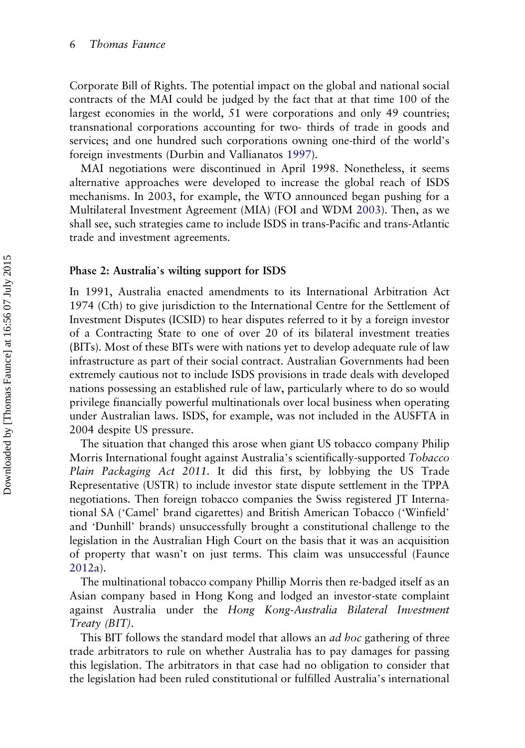Corporate Bill of Rights. The potential impact on the global and national social contracts of the MAI could be judged by the fact that at that time 100 of the largest economies in the world, 51 were corporations and only 49 countries; transnational corporations accounting for two- thirds of trade in goods and services; and one hundred such corporations owning one-third of the world's foreign investments (Durbin and Vallianatos [1997\)](#page-16-0).

MAI negotiations were discontinued in April 1998. Nonetheless, it seems alternative approaches were developed to increase the global reach of ISDS mechanisms. In 2003, for example, the WTO announced began pushing for a Multilateral Investment Agreement (MIA) (FOI and WDM [2003](#page-16-0)). Then, as we shall see, such strategies came to include ISDS in trans-Pacific and trans-Atlantic trade and investment agreements.

#### Phase 2: Australia's wilting support for ISDS

In 1991, Australia enacted amendments to its International Arbitration Act 1974 (Cth) to give jurisdiction to the International Centre for the Settlement of Investment Disputes (ICSID) to hear disputes referred to it by a foreign investor of a Contracting State to one of over 20 of its bilateral investment treaties (BITs). Most of these BITs were with nations yet to develop adequate rule of law infrastructure as part of their social contract. Australian Governments had been extremely cautious not to include ISDS provisions in trade deals with developed nations possessing an established rule of law, particularly where to do so would privilege financially powerful multinationals over local business when operating under Australian laws. ISDS, for example, was not included in the AUSFTA in 2004 despite US pressure.

The situation that changed this arose when giant US tobacco company Philip Morris International fought against Australia's scientifically-supported Tobacco Plain Packaging Act 2011. It did this first, by lobbying the US Trade Representative (USTR) to include investor state dispute settlement in the TPPA negotiations. Then foreign tobacco companies the Swiss registered JT International SA ('Camel' brand cigarettes) and British American Tobacco ('Winfield' and 'Dunhill' brands) unsuccessfully brought a constitutional challenge to the legislation in the Australian High Court on the basis that it was an acquisition of property that wasn't on just terms. This claim was unsuccessful (Faunce [2012](#page-16-0)a).

The multinational tobacco company Phillip Morris then re-badged itself as an Asian company based in Hong Kong and lodged an investor-state complaint against Australia under the Hong Kong-Australia Bilateral Investment Treaty (BIT).

This BIT follows the standard model that allows an *ad hoc* gathering of three trade arbitrators to rule on whether Australia has to pay damages for passing this legislation. The arbitrators in that case had no obligation to consider that the legislation had been ruled constitutional or fulfilled Australia's international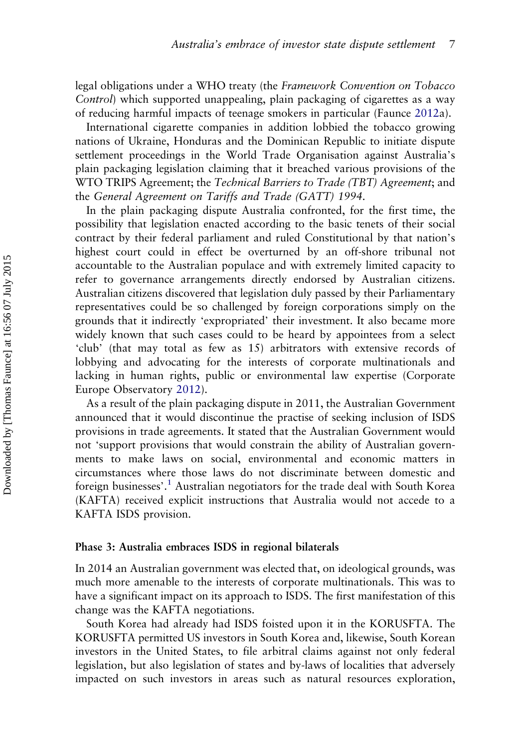legal obligations under a WHO treaty (the Framework Convention on Tobacco Control) which supported unappealing, plain packaging of cigarettes as a way of reducing harmful impacts of teenage smokers in particular (Faunce [2012a](#page-16-0)).

International cigarette companies in addition lobbied the tobacco growing nations of Ukraine, Honduras and the Dominican Republic to initiate dispute settlement proceedings in the World Trade Organisation against Australia's plain packaging legislation claiming that it breached various provisions of the WTO TRIPS Agreement; the Technical Barriers to Trade (TBT) Agreement; and the General Agreement on Tariffs and Trade (GATT) 1994.

In the plain packaging dispute Australia confronted, for the first time, the possibility that legislation enacted according to the basic tenets of their social contract by their federal parliament and ruled Constitutional by that nation's highest court could in effect be overturned by an off-shore tribunal not accountable to the Australian populace and with extremely limited capacity to refer to governance arrangements directly endorsed by Australian citizens. Australian citizens discovered that legislation duly passed by their Parliamentary representatives could be so challenged by foreign corporations simply on the grounds that it indirectly 'expropriated' their investment. It also became more widely known that such cases could to be heard by appointees from a select 'club' (that may total as few as 15) arbitrators with extensive records of lobbying and advocating for the interests of corporate multinationals and lacking in human rights, public or environmental law expertise (Corporate Europe Observatory [2012\)](#page-16-0).

As a result of the plain packaging dispute in 2011, the Australian Government announced that it would discontinue the practise of seeking inclusion of ISDS provisions in trade agreements. It stated that the Australian Government would not 'support provisions that would constrain the ability of Australian governments to make laws on social, environmental and economic matters in circumstances where those laws do not discriminate between domestic and foreign businesses'. [1](#page-15-0) Australian negotiators for the trade deal with South Korea (KAFTA) received explicit instructions that Australia would not accede to a KAFTA ISDS provision.

#### Phase 3: Australia embraces ISDS in regional bilaterals

In 2014 an Australian government was elected that, on ideological grounds, was much more amenable to the interests of corporate multinationals. This was to have a significant impact on its approach to ISDS. The first manifestation of this change was the KAFTA negotiations.

South Korea had already had ISDS foisted upon it in the KORUSFTA. The KORUSFTA permitted US investors in South Korea and, likewise, South Korean investors in the United States, to file arbitral claims against not only federal legislation, but also legislation of states and by-laws of localities that adversely impacted on such investors in areas such as natural resources exploration,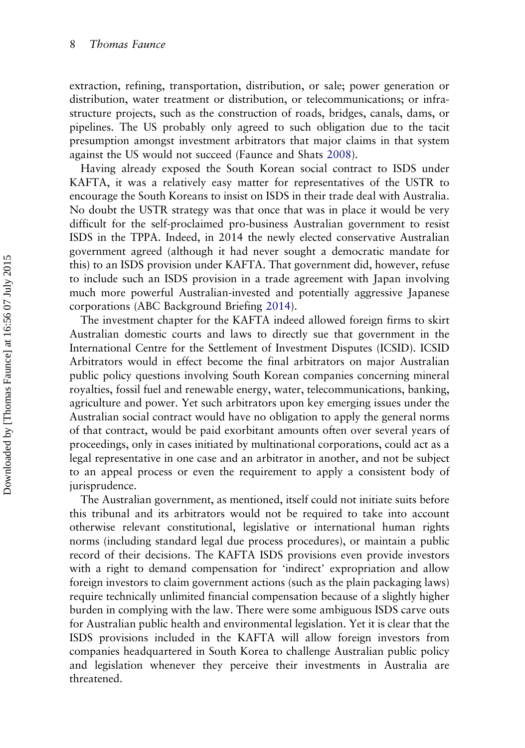extraction, refining, transportation, distribution, or sale; power generation or distribution, water treatment or distribution, or telecommunications; or infrastructure projects, such as the construction of roads, bridges, canals, dams, or pipelines. The US probably only agreed to such obligation due to the tacit presumption amongst investment arbitrators that major claims in that system against the US would not succeed (Faunce and Shats [2008](#page-16-0)).

Having already exposed the South Korean social contract to ISDS under KAFTA, it was a relatively easy matter for representatives of the USTR to encourage the South Koreans to insist on ISDS in their trade deal with Australia. No doubt the USTR strategy was that once that was in place it would be very difficult for the self-proclaimed pro-business Australian government to resist ISDS in the TPPA. Indeed, in 2014 the newly elected conservative Australian government agreed (although it had never sought a democratic mandate for this) to an ISDS provision under KAFTA. That government did, however, refuse to include such an ISDS provision in a trade agreement with Japan involving much more powerful Australian-invested and potentially aggressive Japanese corporations (ABC Background Briefing [2014](#page-15-0)).

The investment chapter for the KAFTA indeed allowed foreign firms to skirt Australian domestic courts and laws to directly sue that government in the International Centre for the Settlement of Investment Disputes (ICSID). ICSID Arbitrators would in effect become the final arbitrators on major Australian public policy questions involving South Korean companies concerning mineral royalties, fossil fuel and renewable energy, water, telecommunications, banking, agriculture and power. Yet such arbitrators upon key emerging issues under the Australian social contract would have no obligation to apply the general norms of that contract, would be paid exorbitant amounts often over several years of proceedings, only in cases initiated by multinational corporations, could act as a legal representative in one case and an arbitrator in another, and not be subject to an appeal process or even the requirement to apply a consistent body of jurisprudence.

The Australian government, as mentioned, itself could not initiate suits before this tribunal and its arbitrators would not be required to take into account otherwise relevant constitutional, legislative or international human rights norms (including standard legal due process procedures), or maintain a public record of their decisions. The KAFTA ISDS provisions even provide investors with a right to demand compensation for 'indirect' expropriation and allow foreign investors to claim government actions (such as the plain packaging laws) require technically unlimited financial compensation because of a slightly higher burden in complying with the law. There were some ambiguous ISDS carve outs for Australian public health and environmental legislation. Yet it is clear that the ISDS provisions included in the KAFTA will allow foreign investors from companies headquartered in South Korea to challenge Australian public policy and legislation whenever they perceive their investments in Australia are threatened.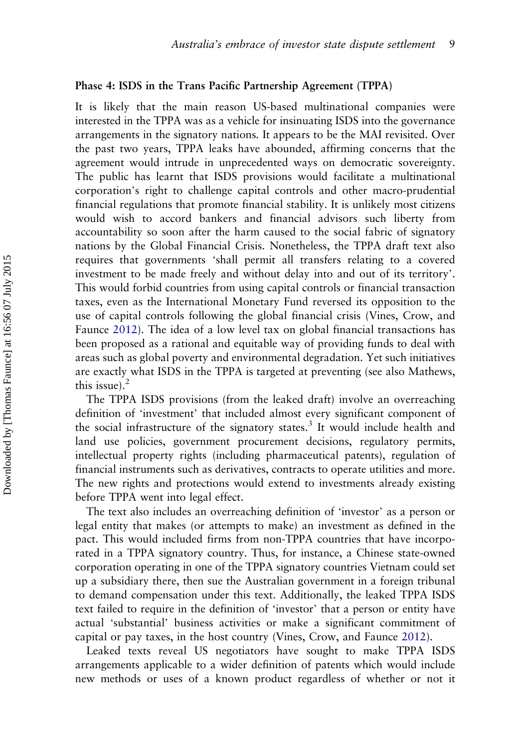#### Phase 4: ISDS in the Trans Pacific Partnership Agreement (TPPA)

It is likely that the main reason US-based multinational companies were interested in the TPPA was as a vehicle for insinuating ISDS into the governance arrangements in the signatory nations. It appears to be the MAI revisited. Over the past two years, TPPA leaks have abounded, affirming concerns that the agreement would intrude in unprecedented ways on democratic sovereignty. The public has learnt that ISDS provisions would facilitate a multinational corporation's right to challenge capital controls and other macro-prudential financial regulations that promote financial stability. It is unlikely most citizens would wish to accord bankers and financial advisors such liberty from accountability so soon after the harm caused to the social fabric of signatory nations by the Global Financial Crisis. Nonetheless, the TPPA draft text also requires that governments 'shall permit all transfers relating to a covered investment to be made freely and without delay into and out of its territory'. This would forbid countries from using capital controls or financial transaction taxes, even as the International Monetary Fund reversed its opposition to the use of capital controls following the global financial crisis (Vines, Crow, and Faunce [2012](#page-16-0)). The idea of a low level tax on global financial transactions has been proposed as a rational and equitable way of providing funds to deal with areas such as global poverty and environmental degradation. Yet such initiatives are exactly what ISDS in the TPPA is targeted at preventing (see also Mathews, this issue). $<sup>2</sup>$  $<sup>2</sup>$  $<sup>2</sup>$ </sup>

The TPPA ISDS provisions (from the leaked draft) involve an overreaching definition of 'investment' that included almost every significant component of the social infrastructure of the signatory states.<sup>[3](#page-15-0)</sup> It would include health and land use policies, government procurement decisions, regulatory permits, intellectual property rights (including pharmaceutical patents), regulation of financial instruments such as derivatives, contracts to operate utilities and more. The new rights and protections would extend to investments already existing before TPPA went into legal effect.

The text also includes an overreaching definition of 'investor' as a person or legal entity that makes (or attempts to make) an investment as defined in the pact. This would included firms from non-TPPA countries that have incorporated in a TPPA signatory country. Thus, for instance, a Chinese state-owned corporation operating in one of the TPPA signatory countries Vietnam could set up a subsidiary there, then sue the Australian government in a foreign tribunal to demand compensation under this text. Additionally, the leaked TPPA ISDS text failed to require in the definition of 'investor' that a person or entity have actual 'substantial' business activities or make a significant commitment of capital or pay taxes, in the host country (Vines, Crow, and Faunce [2012\)](#page-16-0).

Leaked texts reveal US negotiators have sought to make TPPA ISDS arrangements applicable to a wider definition of patents which would include new methods or uses of a known product regardless of whether or not it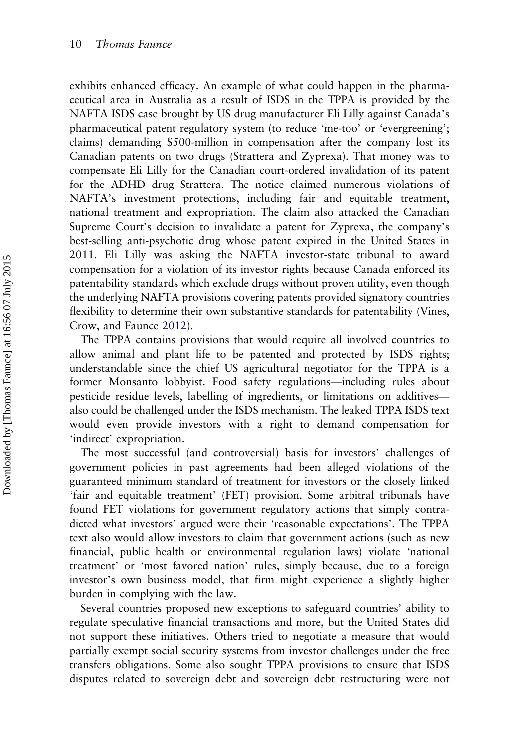exhibits enhanced efficacy. An example of what could happen in the pharmaceutical area in Australia as a result of ISDS in the TPPA is provided by the NAFTA ISDS case brought by US drug manufacturer Eli Lilly against Canada's pharmaceutical patent regulatory system (to reduce 'me-too' or 'evergreening'; claims) demanding \$500-million in compensation after the company lost its Canadian patents on two drugs (Strattera and Zyprexa). That money was to compensate Eli Lilly for the Canadian court-ordered invalidation of its patent for the ADHD drug Strattera. The notice claimed numerous violations of NAFTA's investment protections, including fair and equitable treatment, national treatment and expropriation. The claim also attacked the Canadian Supreme Court's decision to invalidate a patent for Zyprexa, the company's best-selling anti-psychotic drug whose patent expired in the United States in 2011. Eli Lilly was asking the NAFTA investor-state tribunal to award compensation for a violation of its investor rights because Canada enforced its patentability standards which exclude drugs without proven utility, even though the underlying NAFTA provisions covering patents provided signatory countries flexibility to determine their own substantive standards for patentability (Vines, Crow, and Faunce [2012\)](#page-16-0).

The TPPA contains provisions that would require all involved countries to allow animal and plant life to be patented and protected by ISDS rights; understandable since the chief US agricultural negotiator for the TPPA is a former Monsanto lobbyist. Food safety regulations—including rules about pesticide residue levels, labelling of ingredients, or limitations on additives also could be challenged under the ISDS mechanism. The leaked TPPA ISDS text would even provide investors with a right to demand compensation for 'indirect' expropriation.

The most successful (and controversial) basis for investors' challenges of government policies in past agreements had been alleged violations of the guaranteed minimum standard of treatment for investors or the closely linked 'fair and equitable treatment' (FET) provision. Some arbitral tribunals have found FET violations for government regulatory actions that simply contradicted what investors' argued were their 'reasonable expectations'. The TPPA text also would allow investors to claim that government actions (such as new financial, public health or environmental regulation laws) violate 'national treatment' or 'most favored nation' rules, simply because, due to a foreign investor's own business model, that firm might experience a slightly higher burden in complying with the law.

Several countries proposed new exceptions to safeguard countries' ability to regulate speculative financial transactions and more, but the United States did not support these initiatives. Others tried to negotiate a measure that would partially exempt social security systems from investor challenges under the free transfers obligations. Some also sought TPPA provisions to ensure that ISDS disputes related to sovereign debt and sovereign debt restructuring were not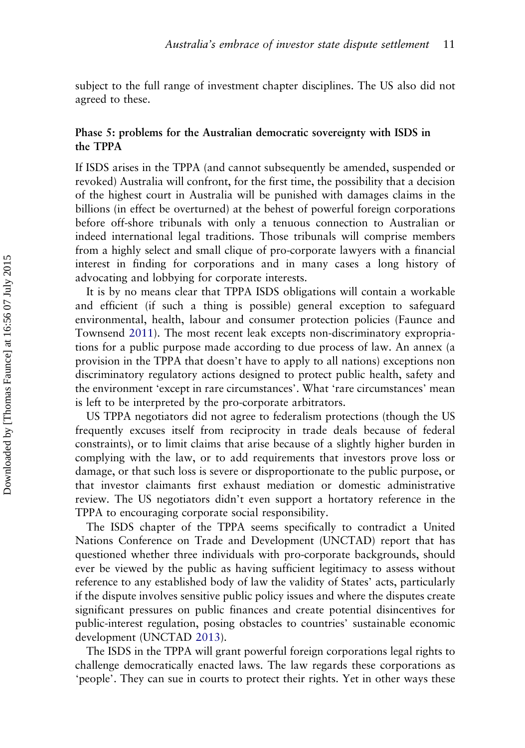subject to the full range of investment chapter disciplines. The US also did not agreed to these.

#### Phase 5: problems for the Australian democratic sovereignty with ISDS in the TPPA

If ISDS arises in the TPPA (and cannot subsequently be amended, suspended or revoked) Australia will confront, for the first time, the possibility that a decision of the highest court in Australia will be punished with damages claims in the billions (in effect be overturned) at the behest of powerful foreign corporations before off-shore tribunals with only a tenuous connection to Australian or indeed international legal traditions. Those tribunals will comprise members from a highly select and small clique of pro-corporate lawyers with a financial interest in finding for corporations and in many cases a long history of advocating and lobbying for corporate interests.

It is by no means clear that TPPA ISDS obligations will contain a workable and efficient (if such a thing is possible) general exception to safeguard environmental, health, labour and consumer protection policies (Faunce and Townsend [2011](#page-16-0)). The most recent leak excepts non-discriminatory expropriations for a public purpose made according to due process of law. An annex (a provision in the TPPA that doesn't have to apply to all nations) exceptions non discriminatory regulatory actions designed to protect public health, safety and the environment 'except in rare circumstances'. What 'rare circumstances' mean is left to be interpreted by the pro-corporate arbitrators.

US TPPA negotiators did not agree to federalism protections (though the US frequently excuses itself from reciprocity in trade deals because of federal constraints), or to limit claims that arise because of a slightly higher burden in complying with the law, or to add requirements that investors prove loss or damage, or that such loss is severe or disproportionate to the public purpose, or that investor claimants first exhaust mediation or domestic administrative review. The US negotiators didn't even support a hortatory reference in the TPPA to encouraging corporate social responsibility.

The ISDS chapter of the TPPA seems specifically to contradict a United Nations Conference on Trade and Development (UNCTAD) report that has questioned whether three individuals with pro-corporate backgrounds, should ever be viewed by the public as having sufficient legitimacy to assess without reference to any established body of law the validity of States' acts, particularly if the dispute involves sensitive public policy issues and where the disputes create significant pressures on public finances and create potential disincentives for public-interest regulation, posing obstacles to countries' sustainable economic development (UNCTAD [2013](#page-16-0)).

The ISDS in the TPPA will grant powerful foreign corporations legal rights to challenge democratically enacted laws. The law regards these corporations as 'people'. They can sue in courts to protect their rights. Yet in other ways these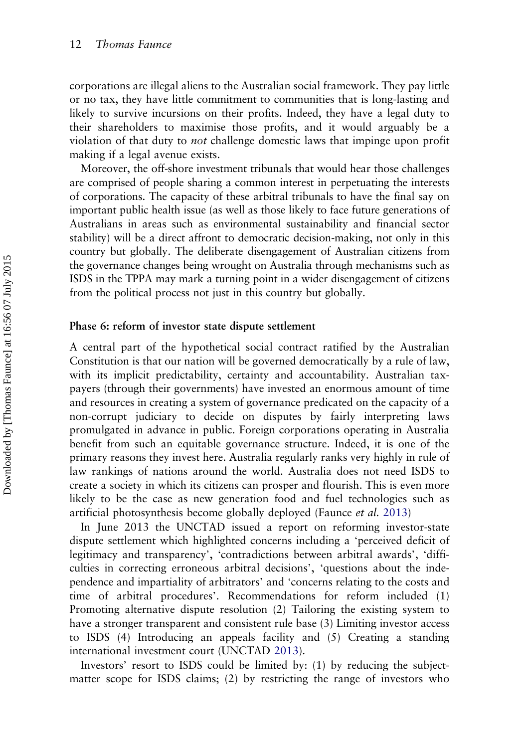corporations are illegal aliens to the Australian social framework. They pay little or no tax, they have little commitment to communities that is long-lasting and likely to survive incursions on their profits. Indeed, they have a legal duty to their shareholders to maximise those profits, and it would arguably be a violation of that duty to not challenge domestic laws that impinge upon profit making if a legal avenue exists.

Moreover, the off-shore investment tribunals that would hear those challenges are comprised of people sharing a common interest in perpetuating the interests of corporations. The capacity of these arbitral tribunals to have the final say on important public health issue (as well as those likely to face future generations of Australians in areas such as environmental sustainability and financial sector stability) will be a direct affront to democratic decision-making, not only in this country but globally. The deliberate disengagement of Australian citizens from the governance changes being wrought on Australia through mechanisms such as ISDS in the TPPA may mark a turning point in a wider disengagement of citizens from the political process not just in this country but globally.

#### Phase 6: reform of investor state dispute settlement

A central part of the hypothetical social contract ratified by the Australian Constitution is that our nation will be governed democratically by a rule of law, with its implicit predictability, certainty and accountability. Australian taxpayers (through their governments) have invested an enormous amount of time and resources in creating a system of governance predicated on the capacity of a non-corrupt judiciary to decide on disputes by fairly interpreting laws promulgated in advance in public. Foreign corporations operating in Australia benefit from such an equitable governance structure. Indeed, it is one of the primary reasons they invest here. Australia regularly ranks very highly in rule of law rankings of nations around the world. Australia does not need ISDS to create a society in which its citizens can prosper and flourish. This is even more likely to be the case as new generation food and fuel technologies such as artificial photosynthesis become globally deployed (Faunce et al. [2013](#page-16-0))

In June 2013 the UNCTAD issued a report on reforming investor-state dispute settlement which highlighted concerns including a 'perceived deficit of legitimacy and transparency', 'contradictions between arbitral awards', 'difficulties in correcting erroneous arbitral decisions', 'questions about the independence and impartiality of arbitrators' and 'concerns relating to the costs and time of arbitral procedures'. Recommendations for reform included (1) Promoting alternative dispute resolution (2) Tailoring the existing system to have a stronger transparent and consistent rule base (3) Limiting investor access to ISDS (4) Introducing an appeals facility and (5) Creating a standing international investment court (UNCTAD [2013\)](#page-16-0).

Investors' resort to ISDS could be limited by: (1) by reducing the subjectmatter scope for ISDS claims; (2) by restricting the range of investors who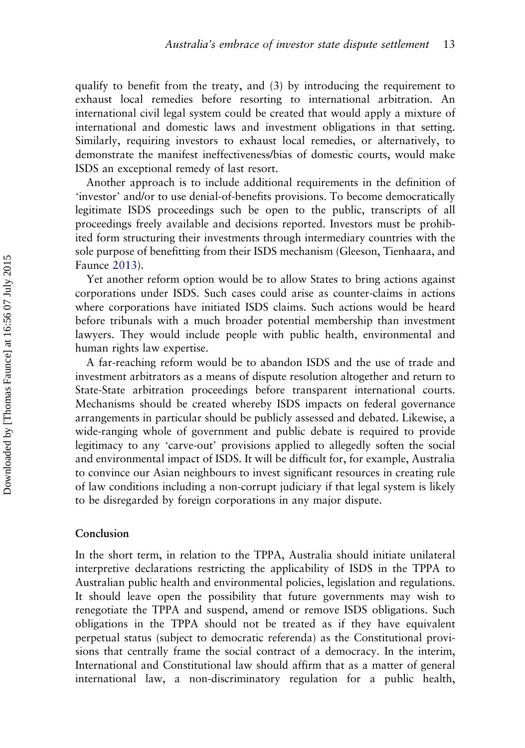qualify to benefit from the treaty, and (3) by introducing the requirement to exhaust local remedies before resorting to international arbitration. An international civil legal system could be created that would apply a mixture of international and domestic laws and investment obligations in that setting. Similarly, requiring investors to exhaust local remedies, or alternatively, to demonstrate the manifest ineffectiveness/bias of domestic courts, would make ISDS an exceptional remedy of last resort.

Another approach is to include additional requirements in the definition of 'investor' and/or to use denial-of-benefits provisions. To become democratically legitimate ISDS proceedings such be open to the public, transcripts of all proceedings freely available and decisions reported. Investors must be prohibited form structuring their investments through intermediary countries with the sole purpose of benefitting from their ISDS mechanism (Gleeson, Tienhaara, and Faunce [2013\)](#page-16-0).

Yet another reform option would be to allow States to bring actions against corporations under ISDS. Such cases could arise as counter-claims in actions where corporations have initiated ISDS claims. Such actions would be heard before tribunals with a much broader potential membership than investment lawyers. They would include people with public health, environmental and human rights law expertise.

A far-reaching reform would be to abandon ISDS and the use of trade and investment arbitrators as a means of dispute resolution altogether and return to State-State arbitration proceedings before transparent international courts. Mechanisms should be created whereby ISDS impacts on federal governance arrangements in particular should be publicly assessed and debated. Likewise, a wide-ranging whole of government and public debate is required to provide legitimacy to any 'carve-out' provisions applied to allegedly soften the social and environmental impact of ISDS. It will be difficult for, for example, Australia to convince our Asian neighbours to invest significant resources in creating rule of law conditions including a non-corrupt judiciary if that legal system is likely to be disregarded by foreign corporations in any major dispute.

#### Conclusion

In the short term, in relation to the TPPA, Australia should initiate unilateral interpretive declarations restricting the applicability of ISDS in the TPPA to Australian public health and environmental policies, legislation and regulations. It should leave open the possibility that future governments may wish to renegotiate the TPPA and suspend, amend or remove ISDS obligations. Such obligations in the TPPA should not be treated as if they have equivalent perpetual status (subject to democratic referenda) as the Constitutional provisions that centrally frame the social contract of a democracy. In the interim, International and Constitutional law should affirm that as a matter of general international law, a non-discriminatory regulation for a public health,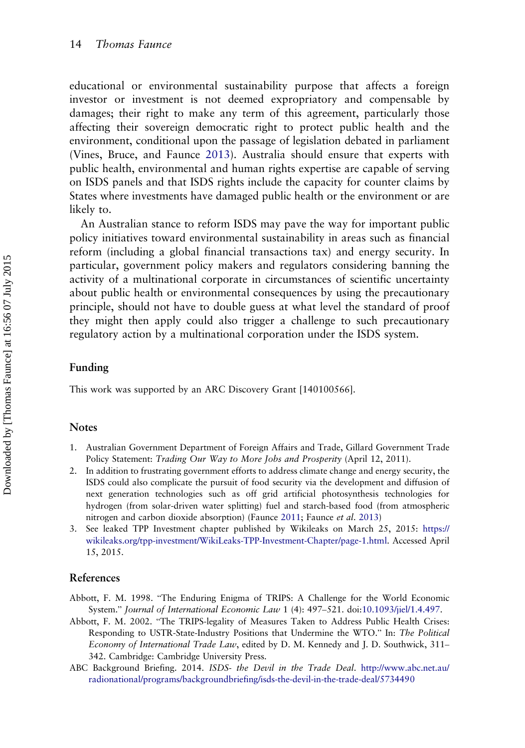<span id="page-15-0"></span>educational or environmental sustainability purpose that affects a foreign investor or investment is not deemed expropriatory and compensable by damages; their right to make any term of this agreement, particularly those affecting their sovereign democratic right to protect public health and the environment, conditional upon the passage of legislation debated in parliament (Vines, Bruce, and Faunce [2013](#page-16-0)). Australia should ensure that experts with public health, environmental and human rights expertise are capable of serving on ISDS panels and that ISDS rights include the capacity for counter claims by States where investments have damaged public health or the environment or are likely to.

An Australian stance to reform ISDS may pave the way for important public policy initiatives toward environmental sustainability in areas such as financial reform (including a global financial transactions tax) and energy security. In particular, government policy makers and regulators considering banning the activity of a multinational corporate in circumstances of scientific uncertainty about public health or environmental consequences by using the precautionary principle, should not have to double guess at what level the standard of proof they might then apply could also trigger a challenge to such precautionary regulatory action by a multinational corporation under the ISDS system.

#### Funding

This work was supported by an ARC Discovery Grant [140100566].

#### **Notes**

- 1. Australian Government Department of Foreign Affairs and Trade, Gillard Government Trade Policy Statement: Trading Our Way to More Jobs and Prosperity (April 12, 2011).
- 2. In addition to frustrating government efforts to address climate change and energy security, the ISDS could also complicate the pursuit of food security via the development and diffusion of next generation technologies such as off grid artificial photosynthesis technologies for hydrogen (from solar-driven water splitting) fuel and starch-based food (from atmospheric nitrogen and carbon dioxide absorption) (Faunce [2011;](#page-16-0) Faunce et al. [2013](#page-16-0))
- 3. See leaked TPP Investment chapter published by Wikileaks on March 25, 2015: [https://](https://wikileaks.org/tpp-investment/WikiLeaks-TPP-Investment-Chapter/page-1.html) [wikileaks.org/tpp-investment/WikiLeaks-TPP-Investment-Chapter/page-1.html.](https://wikileaks.org/tpp-investment/WikiLeaks-TPP-Investment-Chapter/page-1.html) Accessed April 15, 2015.

#### References

- Abbott, F. M. 1998. "The Enduring Enigma of TRIPS: A Challenge for the World Economic System." Journal of International Economic Law 1 (4): 497–521. doi[:10.1093/jiel/1.4.497.](http://dx.doi.org/10.1093/jiel/1.4.497)
- Abbott, F. M. 2002. "The TRIPS-legality of Measures Taken to Address Public Health Crises: Responding to USTR-State-Industry Positions that Undermine the WTO." In: The Political Economy of International Trade Law, edited by D. M. Kennedy and J. D. Southwick, 311– 342. Cambridge: Cambridge University Press.
- ABC Background Briefing. 2014. ISDS- the Devil in the Trade Deal. [http://www.abc.net.au/](http://www.abc.net.au/radionational/programs/backgroundbriefing/isds-the-devil-in-the-trade-deal/5734490) [radionational/programs/backgroundbriefing/isds-the-devil-in-the-trade-deal/5734490](http://www.abc.net.au/radionational/programs/backgroundbriefing/isds-the-devil-in-the-trade-deal/5734490)